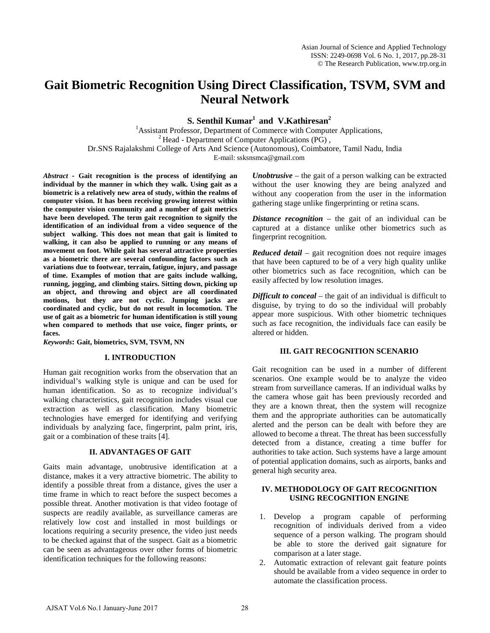# **Gait Biometric Recognition Using Direct Classification, TSVM, SVM and Neural Network**

**S. Senthil Kumar<sup>1</sup> and V.Kathiresan<sup>2</sup>** 

<sup>1</sup> Assistant Professor, Department of Commerce with Computer Applications, <sup>2</sup> Head - Department of Computer Applications (PG), Dr.SNS Rajalakshmi College of Arts And Science (Autonomous), Coimbatore, Tamil Nadu, India E-mail: [ssksnsmca@gmail.com](mailto:ssksnsmca@gmail.com)

*Abstract -* **Gait recognition is the process of identifying an individual by the manner in which they walk. Using gait as a biometric is a relatively new area of study, within the realms of computer vision. It has been receiving growing interest within the computer vision community and a number of gait metrics have been developed. The term gait recognition to signify the identification of an individual from a video sequence of the subject walking. This does not mean that gait is limited to walking, it can also be applied to running or any means of movement on foot. While gait has several attractive properties as a biometric there are several confounding factors such as variations due to footwear, terrain, fatigue, injury, and passage of time. Examples of motion that are gaits include walking, running, jogging, and climbing stairs. Sitting down, picking up an object, and throwing and object are all coordinated motions, but they are not cyclic. Jumping jacks are coordinated and cyclic, but do not result in locomotion. The use of gait as a biometric for human identification is still young when compared to methods that use voice, finger prints, or faces.** 

*Keywords***: Gait, biometrics, SVM, TSVM, NN**

#### **I. INTRODUCTION**

Human gait recognition works from the observation that an individual's walking style is unique and can be used for human identification. So as to recognize individual's walking characteristics, gait recognition includes visual cue extraction as well as classification. Many biometric technologies have emerged for identifying and verifying individuals by analyzing face, fingerprint, palm print, iris, gait or a combination of these traits [4].

#### **II. ADVANTAGES OF GAIT**

Gaits main advantage, unobtrusive identification at a distance, makes it a very attractive biometric. The ability to identify a possible threat from a distance, gives the user a time frame in which to react before the suspect becomes a possible threat. Another motivation is that video footage of suspects are readily available, as surveillance cameras are relatively low cost and installed in most buildings or locations requiring a security presence, the video just needs to be checked against that of the suspect. Gait as a biometric can be seen as advantageous over other forms of biometric identification techniques for the following reasons:

*Unobtrusive* – the gait of a person walking can be extracted without the user knowing they are being analyzed and without any cooperation from the user in the information gathering stage unlike fingerprinting or retina scans.

*Distance recognition* – the gait of an individual can be captured at a distance unlike other biometrics such as fingerprint recognition.

*Reduced detail* – gait recognition does not require images that have been captured to be of a very high quality unlike other biometrics such as face recognition, which can be easily affected by low resolution images.

*Difficult to conceal* – the gait of an individual is difficult to disguise, by trying to do so the individual will probably appear more suspicious. With other biometric techniques such as face recognition, the individuals face can easily be altered or hidden.

#### **III. GAIT RECOGNITION SCENARIO**

Gait recognition can be used in a number of different scenarios. One example would be to analyze the video stream from surveillance cameras. If an individual walks by the camera whose gait has been previously recorded and they are a known threat, then the system will recognize them and the appropriate authorities can be automatically alerted and the person can be dealt with before they are allowed to become a threat. The threat has been successfully detected from a distance, creating a time buffer for authorities to take action. Such systems have a large amount of potential application domains, such as airports, banks and general high security area.

# **IV. METHODOLOGY OF GAIT RECOGNITION USING RECOGNITION ENGINE**

- 1. Develop a program capable of performing recognition of individuals derived from a video sequence of a person walking. The program should be able to store the derived gait signature for comparison at a later stage.
- 2. Automatic extraction of relevant gait feature points should be available from a video sequence in order to automate the classification process.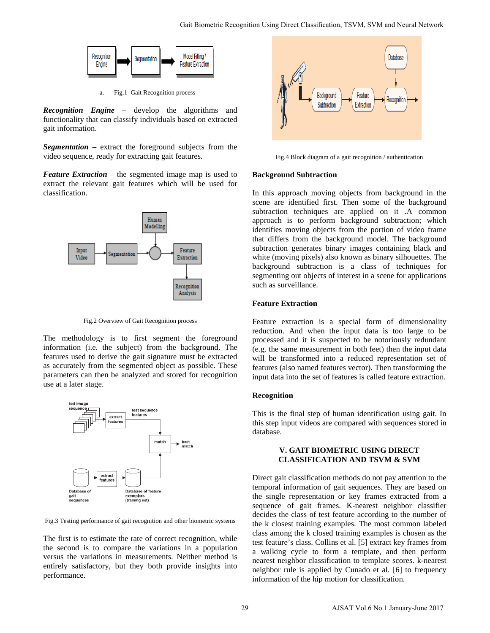

a. Fig.1 Gait Recognition process

*Recognition Engine* – develop the algorithms and functionality that can classify individuals based on extracted gait information.

*Segmentation* – extract the foreground subjects from the video sequence, ready for extracting gait features.

*Feature Extraction* – the segmented image map is used to extract the relevant gait features which will be used for classification.



Fig.2 Overview of Gait Recognition process

The methodology is to first segment the foreground information (i.e. the subject) from the background. The features used to derive the gait signature must be extracted as accurately from the segmented object as possible. These parameters can then be analyzed and stored for recognition use at a later stage.



Fig.3 Testing performance of gait recognition and other biometric systems

The first is to estimate the rate of correct recognition, while the second is to compare the variations in a population versus the variations in measurements. Neither method is entirely satisfactory, but they both provide insights into performance.



Fig.4 Block diagram of a gait recognition / authentication

#### **Background Subtraction**

In this approach moving objects from background in the scene are identified first. Then some of the background subtraction techniques are applied on it .A common approach is to perform background subtraction; which identifies moving objects from the portion of video frame that differs from the background model. The background subtraction generates binary images containing black and white (moving pixels) also known as binary silhouettes. The background subtraction is a class of techniques for segmenting out objects of interest in a scene for applications such as surveillance.

# **Feature Extraction**

Feature extraction is a special form of dimensionality reduction. And when the input data is too large to be processed and it is suspected to be notoriously redundant (e.g. the same measurement in both feet) then the input data will be transformed into a reduced representation set of features (also named features vector). Then transforming the input data into the set of features is called feature extraction.

# **Recognition**

This is the final step of human identification using gait. In this step input videos are compared with sequences stored in database.

# **V. GAIT BIOMETRIC USING DIRECT CLASSIFICATION AND TSVM & SVM**

Direct gait classification methods do not pay attention to the temporal information of gait sequences. They are based on the single representation or key frames extracted from a sequence of gait frames. K-nearest neighbor classifier decides the class of test feature according to the number of the k closest training examples. The most common labeled class among the k closed training examples is chosen as the test feature's class. Collins et al. [5] extract key frames from a walking cycle to form a template, and then perform nearest neighbor classification to template scores. k-nearest neighbor rule is applied by Cunado et al. [6] to frequency information of the hip motion for classification. Cast Rhometric Recognition Using Direct Clussification, TSVM, SVM and Neural Network<br>
Valid English<br>
Valid English<br>
Using Using Cluster<br>
Using Using Cluster<br>
Using Using Using Cluster<br>
Using Using Cluster<br>
Using Using Clu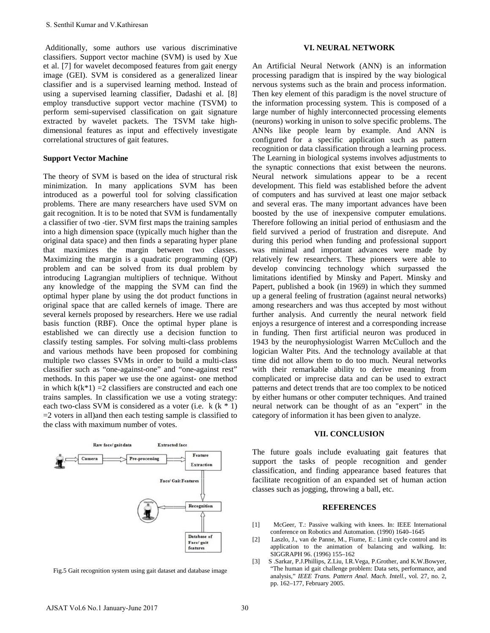Additionally, some authors use various discriminative classifiers. Support vector machine (SVM) is used by Xue et al. [7] for wavelet decomposed features from gait energy image (GEI). SVM is considered as a generalized linear classifier and is a supervised learning method. Instead of using a supervised learning classifier, Dadashi et al. [8] employ transductive support vector machine (TSVM) to perform semi-supervised classification on gait signature extracted by wavelet packets. The TSVM take highdimensional features as input and effectively investigate correlational structures of gait features.

# **Support Vector Machine**

The theory of SVM is based on the idea of structural risk minimization. In many applications SVM has been introduced as a powerful tool for solving classification problems. There are many researchers have used SVM on gait recognition. It is to be noted that SVM is fundamentally a classifier of two -tier. SVM first maps the training samples into a high dimension space (typically much higher than the original data space) and then finds a separating hyper plane that maximizes the margin between two classes. Maximizing the margin is a quadratic programming (QP) problem and can be solved from its dual problem by introducing Lagrangian multipliers of technique. Without any knowledge of the mapping the SVM can find the optimal hyper plane by using the dot product functions in original space that are called kernels of image. There are several kernels proposed by researchers. Here we use radial basis function (RBF). Once the optimal hyper plane is established we can directly use a decision function to classify testing samples. For solving multi-class problems and various methods have been proposed for combining multiple two classes SVMs in order to build a multi-class classifier such as "one-against-one" and "one-against rest" methods. In this paper we use the one against- one method in which  $k(k*1) = 2$  classifiers are constructed and each one trains samples. In classification we use a voting strategy: each two-class SVM is considered as a voter (i.e.  $k$  ( $k * 1$ )  $=$  2 voters in all)and then each testing sample is classified to the class with maximum number of votes. S. Senthil Kumar and V.Kathiresan<br>
Moditionally, some anthosis use various discriminative<br>
Mosifican-Singmer vector mechine (SVM) is used by Xue<br>
tal  $(21)$  for wavelet decomposed features from pail energy<br>
and  $(31)$  for



Fig.5 Gait recognition system using gait dataset and database image

# **VI. NEURAL NETWORK**

An Artificial Neural Network (ANN) is an information processing paradigm that is inspired by the way biological nervous systems such as the brain and process information. Then key element of this paradigm is the novel structure of the information processing system. This is composed of a large number of highly interconnected processing elements (neurons) working in unison to solve specific problems. The ANNs like people learn by example. And ANN is configured for a specific application such as pattern recognition or data classification through a learning process. The Learning in biological systems involves adjustments to the synaptic connections that exist between the neurons. Neural network simulations appear to be a recent development. This field was established before the advent of computers and has survived at least one major setback and several eras. The many important advances have been boosted by the use of inexpensive computer emulations. Therefore following an initial period of enthusiasm and the field survived a period of frustration and disrepute. And during this period when funding and professional support was minimal and important advances were made by relatively few researchers. These pioneers were able to develop convincing technology which surpassed the limitations identified by Minsky and Papert. Minsky and Papert, published a book (in 1969) in which they summed up a general feeling of frustration (against neural networks) among researchers and was thus accepted by most without further analysis. And currently the neural network field enjoys a resurgence of interest and a corresponding increase in funding. Then first artificial neuron was produced in 1943 by the neurophysiologist Warren McCulloch and the logician Walter Pits. And the technology available at that time did not allow them to do too much. Neural networks with their remarkable ability to derive meaning from complicated or imprecise data and can be used to extract patterns and detect trends that are too complex to be noticed by either humans or other computer techniques. And trained neural network can be thought of as an "expert" in the category of information it has been given to analyze.

# **VII. CONCLUSION**

The future goals include evaluating gait features that support the tasks of people recognition and gender classification, and finding appearance based features that facilitate recognition of an expanded set of human action classes such as jogging, throwing a ball, etc.

#### **REFERENCES**

- [1] McGeer, T.: Passive walking with knees. In: IEEE International conference on Robotics and Automation. (1990) 1640–1645
- [2] Laszlo, J., van de Panne, M., Fiume, E.: Limit cycle control and its application to the animation of balancing and walking. In: SIGGRAPH 96. (1996) 155–162
- [3] S .Sarkar, P.J.Phillips, Z.Liu, I.R.Vega, P.Grother, and K.W.Bowyer, "The human id gait challenge problem: Data sets, performance, and analysis," *IEEE Trans. Pattern Anal. Mach. Intell.*, vol. 27, no. 2, pp. 162–177, February 2005.